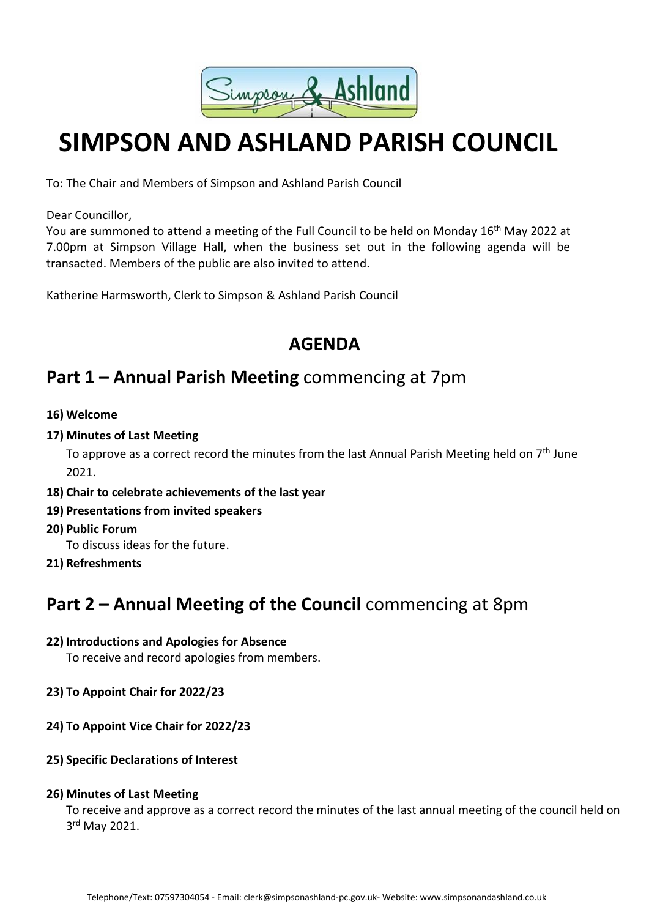

# **SIMPSON AND ASHLAND PARISH COUNCIL**

To: The Chair and Members of Simpson and Ashland Parish Council

Dear Councillor,

You are summoned to attend a meeting of the Full Council to be held on Monday 16<sup>th</sup> May 2022 at 7.00pm at Simpson Village Hall, when the business set out in the following agenda will be transacted. Members of the public are also invited to attend.

Katherine Harmsworth, Clerk to Simpson & Ashland Parish Council

### **AGENDA**

### **Part 1 – Annual Parish Meeting** commencing at 7pm

- **16) Welcome**
- **17) Minutes of Last Meeting**

To approve as a correct record the minutes from the last Annual Parish Meeting held on  $7<sup>th</sup>$  June 2021.

- **18) Chair to celebrate achievements of the last year**
- **19) Presentations from invited speakers**
- **20) Public Forum**

To discuss ideas for the future.

**21) Refreshments**

### **Part 2 – Annual Meeting of the Council** commencing at 8pm

### **22) Introductions and Apologies for Absence**

To receive and record apologies from members.

- **23) To Appoint Chair for 2022/23**
- **24) To Appoint Vice Chair for 2022/23**
- **25) Specific Declarations of Interest**

### **26) Minutes of Last Meeting**

To receive and approve as a correct record the minutes of the last annual meeting of the council held on 3<sup>rd</sup> May 2021.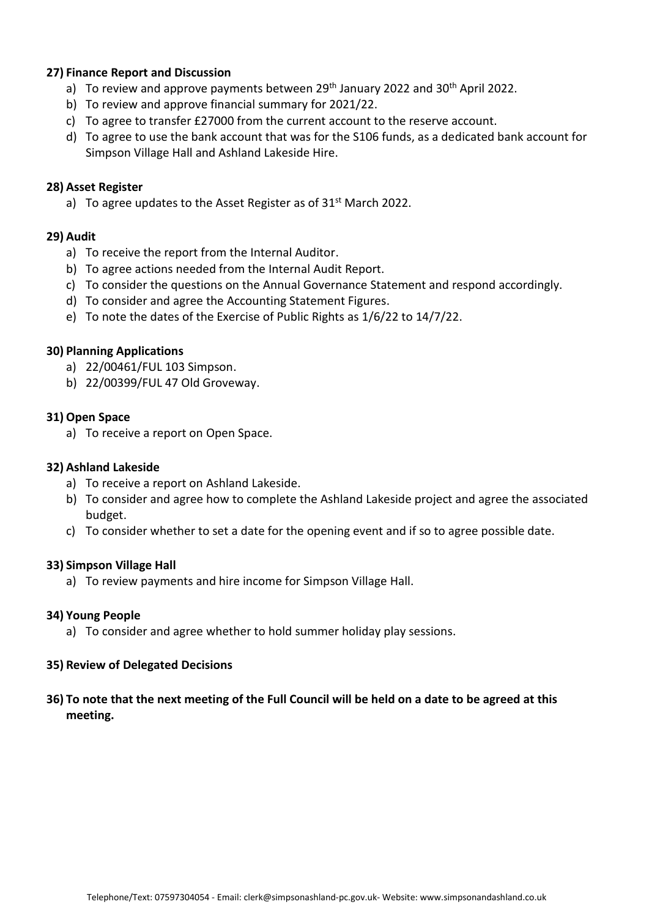#### **27) Finance Report and Discussion**

- a) To review and approve payments between 29<sup>th</sup> January 2022 and 30<sup>th</sup> April 2022.
- b) To review and approve financial summary for 2021/22.
- c) To agree to transfer £27000 from the current account to the reserve account.
- d) To agree to use the bank account that was for the S106 funds, as a dedicated bank account for Simpson Village Hall and Ashland Lakeside Hire.

#### **28) Asset Register**

a) To agree updates to the Asset Register as of 31<sup>st</sup> March 2022.

#### **29) Audit**

- a) To receive the report from the Internal Auditor.
- b) To agree actions needed from the Internal Audit Report.
- c) To consider the questions on the Annual Governance Statement and respond accordingly.
- d) To consider and agree the Accounting Statement Figures.
- e) To note the dates of the Exercise of Public Rights as 1/6/22 to 14/7/22.

#### **30) Planning Applications**

- a) 22/00461/FUL 103 Simpson.
- b) 22/00399/FUL 47 Old Groveway.

#### **31) Open Space**

a) To receive a report on Open Space.

#### **32) Ashland Lakeside**

- a) To receive a report on Ashland Lakeside.
- b) To consider and agree how to complete the Ashland Lakeside project and agree the associated budget.
- c) To consider whether to set a date for the opening event and if so to agree possible date.

#### **33) Simpson Village Hall**

a) To review payments and hire income for Simpson Village Hall.

#### **34) Young People**

a) To consider and agree whether to hold summer holiday play sessions.

#### **35) Review of Delegated Decisions**

**36) To note that the next meeting of the Full Council will be held on a date to be agreed at this meeting.**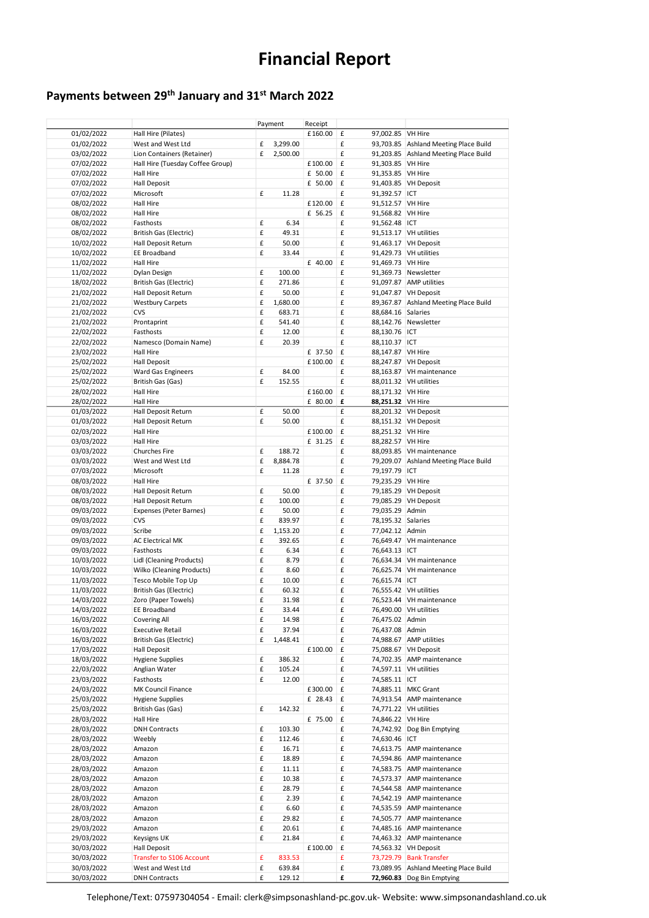## **Financial Report**

### **Payments between 29th January and 31st March 2022**

|            |                                  |   | Payment  | Receipt |                    |                    |                                       |
|------------|----------------------------------|---|----------|---------|--------------------|--------------------|---------------------------------------|
| 01/02/2022 | Hall Hire (Pilates)              |   |          | £160.00 | £                  | 97,002.85 VH Hire  |                                       |
| 01/02/2022 | West and West Ltd                | £ | 3,299.00 |         | £                  |                    | 93,703.85 Ashland Meeting Place Build |
| 03/02/2022 | Lion Containers (Retainer)       | £ | 2,500.00 |         | £                  |                    | 91,203.85 Ashland Meeting Place Build |
| 07/02/2022 | Hall Hire (Tuesday Coffee Group) |   |          | £100.00 | £                  | 91,303.85 VH Hire  |                                       |
| 07/02/2022 | Hall Hire                        |   |          | £ 50.00 | £                  | 91,353.85 VH Hire  |                                       |
| 07/02/2022 | Hall Deposit                     |   |          | £ 50.00 | £                  |                    | 91,403.85 VH Deposit                  |
| 07/02/2022 | Microsoft                        | £ | 11.28    |         | £                  | 91,392.57 ICT      |                                       |
|            | Hall Hire                        |   |          | £120.00 | $\pmb{\mathsf{f}}$ | 91,512.57 VH Hire  |                                       |
| 08/02/2022 |                                  |   |          |         |                    |                    |                                       |
| 08/02/2022 | Hall Hire                        |   |          | £ 56.25 | £                  | 91,568.82 VH Hire  |                                       |
| 08/02/2022 | Fasthosts                        | £ | 6.34     |         | £                  | 91,562.48 ICT      |                                       |
| 08/02/2022 | British Gas (Electric)           | £ | 49.31    |         | £                  |                    | 91,513.17   VH utilities              |
| 10/02/2022 | Hall Deposit Return              | £ | 50.00    |         | £                  |                    | 91,463.17 VH Deposit                  |
| 10/02/2022 | EE Broadband                     | £ | 33.44    |         | £                  |                    | 91,429.73 VH utilities                |
| 11/02/2022 | Hall Hire                        |   |          | £ 40.00 | £                  | 91,469.73 VH Hire  |                                       |
| 11/02/2022 | Dylan Design                     | £ | 100.00   |         | £                  |                    | 91,369.73 Newsletter                  |
| 18/02/2022 | British Gas (Electric)           | £ | 271.86   |         | £                  |                    | 91,097.87 AMP utilities               |
| 21/02/2022 | Hall Deposit Return              | £ | 50.00    |         | £                  |                    | 91,047.87 VH Deposit                  |
| 21/02/2022 | <b>Westbury Carpets</b>          | £ | 1,680.00 |         | £                  |                    | 89,367.87 Ashland Meeting Place Build |
|            | CVS                              | £ | 683.71   |         | £                  | 88,684.16 Salaries |                                       |
| 21/02/2022 |                                  |   |          |         |                    |                    |                                       |
| 21/02/2022 | Prontaprint                      | £ | 541.40   |         | £                  |                    | 88,142.76 Newsletter                  |
| 22/02/2022 | Fasthosts                        | £ | 12.00    |         | £                  | 88,130.76 ICT      |                                       |
| 22/02/2022 | Namesco (Domain Name)            | £ | 20.39    |         | $\pmb{\mathsf{f}}$ | 88,110.37 ICT      |                                       |
| 23/02/2022 | Hall Hire                        |   |          | £ 37.50 | £                  | 88,147.87 VH Hire  |                                       |
| 25/02/2022 | <b>Hall Deposit</b>              |   |          | £100.00 | £                  |                    | 88,247.87 VH Deposit                  |
| 25/02/2022 | <b>Ward Gas Engineers</b>        | £ | 84.00    |         | £                  |                    | 88,163.87 VH maintenance              |
| 25/02/2022 | British Gas (Gas)                | £ | 152.55   |         | £                  |                    | 88,011.32 VH utilities                |
| 28/02/2022 | <b>Hall Hire</b>                 |   |          | £160.00 | £                  | 88,171.32 VH Hire  |                                       |
| 28/02/2022 | Hall Hire                        |   |          | £ 80.00 | £                  | 88,251.32 VH Hire  |                                       |
|            |                                  |   |          |         |                    |                    |                                       |
| 01/03/2022 | Hall Deposit Return              | £ | 50.00    |         | £                  |                    | 88,201.32 VH Deposit                  |
| 01/03/2022 | <b>Hall Deposit Return</b>       | £ | 50.00    |         | £                  |                    | 88,151.32 VH Deposit                  |
| 02/03/2022 | Hall Hire                        |   |          | £100.00 | £                  | 88,251.32 VH Hire  |                                       |
| 03/03/2022 | Hall Hire                        |   |          | £ 31.25 | £                  | 88,282.57 VH Hire  |                                       |
| 03/03/2022 | Churches Fire                    | £ | 188.72   |         | £                  |                    | 88,093.85 VH maintenance              |
| 03/03/2022 | West and West Ltd                | £ | 8,884.78 |         | £                  |                    | 79,209.07 Ashland Meeting Place Build |
| 07/03/2022 | Microsoft                        | £ | 11.28    |         | £                  | 79,197.79 ICT      |                                       |
| 08/03/2022 | Hall Hire                        |   |          | £ 37.50 | £                  | 79,235.29 VH Hire  |                                       |
| 08/03/2022 | Hall Deposit Return              | £ | 50.00    |         | £                  |                    | 79,185.29 VH Deposit                  |
|            | Hall Deposit Return              | £ |          |         | £                  |                    |                                       |
| 08/03/2022 |                                  |   | 100.00   |         |                    |                    | 79,085.29 VH Deposit                  |
| 09/03/2022 | Expenses (Peter Barnes)          | £ | 50.00    |         | £                  | 79,035.29 Admin    |                                       |
| 09/03/2022 | CVS                              | £ | 839.97   |         | £                  | 78,195.32 Salaries |                                       |
| 09/03/2022 | Scribe                           | £ | 1,153.20 |         | $\pmb{\mathsf{f}}$ | 77,042.12 Admin    |                                       |
| 09/03/2022 | <b>AC Electrical MK</b>          | £ | 392.65   |         | £                  |                    | 76,649.47 VH maintenance              |
| 09/03/2022 | Fasthosts                        | £ | 6.34     |         | £                  | 76,643.13 ICT      |                                       |
| 10/03/2022 | Lidl (Cleaning Products)         | £ | 8.79     |         | £                  |                    | 76,634.34 VH maintenance              |
| 10/03/2022 | Wilko (Cleaning Products)        | £ | 8.60     |         | £                  |                    | 76,625.74 VH maintenance              |
| 11/03/2022 | Tesco Mobile Top Up              | £ | 10.00    |         | £                  | 76,615.74 ICT      |                                       |
| 11/03/2022 | British Gas (Electric)           | £ | 60.32    |         | £                  |                    | 76,555.42 VH utilities                |
|            | Zoro (Paper Towels)              | £ | 31.98    |         | £                  |                    |                                       |
| 14/03/2022 |                                  |   |          |         |                    |                    | 76,523.44 VH maintenance              |
| 14/03/2022 | EE Broadband                     | £ | 33.44    |         | £                  |                    | 76,490.00 VH utilities                |
| 16/03/2022 | Covering All                     | £ | 14.98    |         | £                  | 76,475.02 Admin    |                                       |
| 16/03/2022 | <b>Executive Retail</b>          | £ | 37.94    |         | £                  | 76,437.08 Admin    |                                       |
| 16/03/2022 | <b>British Gas (Electric)</b>    | £ | 1,448.41 |         | £                  |                    | 74,988.67 AMP utilities               |
| 17/03/2022 | <b>Hall Deposit</b>              |   |          | £100.00 | £                  |                    | 75,088.67 VH Deposit                  |
| 18/03/2022 | <b>Hygiene Supplies</b>          | £ | 386.32   |         | £                  |                    | 74,702.35 AMP maintenance             |
| 22/03/2022 | Anglian Water                    | £ | 105.24   |         | £                  |                    | 74,597.11 VH utilities                |
| 23/03/2022 | Fasthosts                        | £ | 12.00    |         | £                  | 74,585.11 ICT      |                                       |
| 24/03/2022 | MK Council Finance               |   |          | £300.00 | £                  |                    | 74,885.11 MKC Grant                   |
|            |                                  |   |          | £ 28.43 |                    |                    | 74,913.54 AMP maintenance             |
| 25/03/2022 | <b>Hygiene Supplies</b>          |   |          |         | £                  |                    |                                       |
| 25/03/2022 | British Gas (Gas)                | £ | 142.32   |         | £                  |                    | 74,771.22 VH utilities                |
| 28/03/2022 | Hall Hire                        |   |          | £ 75.00 | £                  | 74,846.22 VH Hire  |                                       |
| 28/03/2022 | <b>DNH Contracts</b>             | £ | 103.30   |         | £                  |                    | 74,742.92 Dog Bin Emptying            |
| 28/03/2022 | Weebly                           | £ | 112.46   |         | £                  | 74,630.46 ICT      |                                       |
| 28/03/2022 | Amazon                           | £ | 16.71    |         | £                  |                    | 74,613.75 AMP maintenance             |
| 28/03/2022 | Amazon                           | £ | 18.89    |         | £                  |                    | 74,594.86 AMP maintenance             |
| 28/03/2022 | Amazon                           | £ | 11.11    |         | £                  |                    | 74,583.75 AMP maintenance             |
| 28/03/2022 | Amazon                           | £ | 10.38    |         | £                  |                    | 74,573.37 AMP maintenance             |
|            |                                  |   |          |         |                    |                    |                                       |
| 28/03/2022 | Amazon                           | £ | 28.79    |         | £                  |                    | 74,544.58 AMP maintenance             |
| 28/03/2022 | Amazon                           | £ | 2.39     |         | £                  |                    | 74,542.19 AMP maintenance             |
| 28/03/2022 | Amazon                           | £ | 6.60     |         | $\pmb{\mathsf{f}}$ |                    | 74,535.59 AMP maintenance             |
| 28/03/2022 | Amazon                           | £ | 29.82    |         | £                  |                    | 74,505.77 AMP maintenance             |
| 29/03/2022 | Amazon                           | £ | 20.61    |         | £                  |                    | 74,485.16 AMP maintenance             |
| 29/03/2022 | Keysigns UK                      | £ | 21.84    |         | £                  |                    | 74,463.32 AMP maintenance             |
| 30/03/2022 | Hall Deposit                     |   |          | £100.00 | £                  |                    | 74,563.32 VH Deposit                  |
| 30/03/2022 | <b>Transfer to S106 Account</b>  | £ | 833.53   |         | £                  |                    | 73,729.79 Bank Transfer               |
| 30/03/2022 | West and West Ltd                | £ | 639.84   |         | £                  |                    | 73,089.95 Ashland Meeting Place Build |
| 30/03/2022 | <b>DNH Contracts</b>             | £ | 129.12   |         | £                  |                    | 72,960.83 Dog Bin Emptying            |
|            |                                  |   |          |         |                    |                    |                                       |

Telephone/Text: 07597304054 - Email: clerk@simpsonashland-pc.gov.uk- Website: www.simpsonandashland.co.uk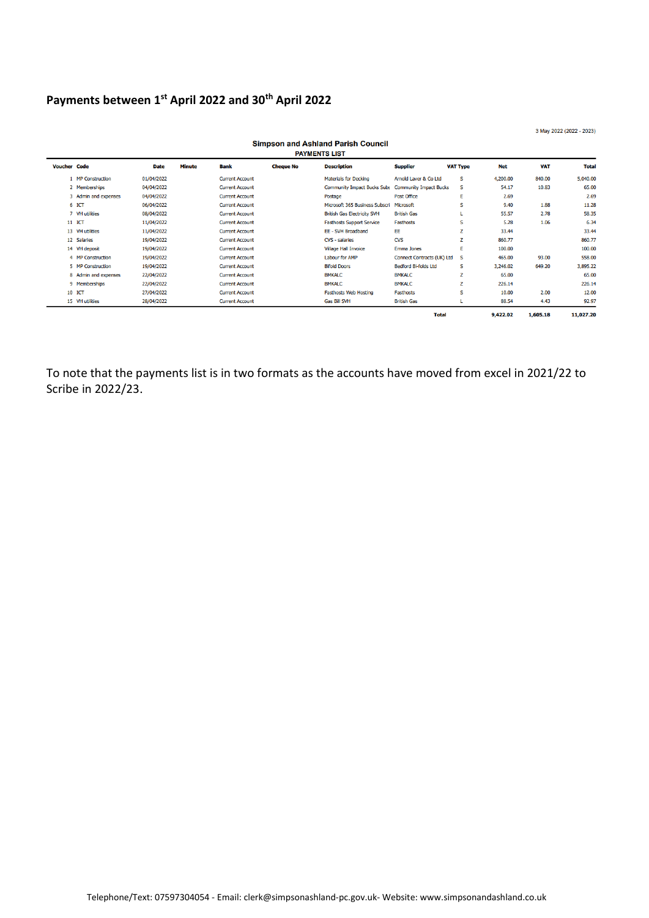#### **Payments between 1 st April 2022 and 30th April 2022**

3 May 2022 (2022 - 2023)

| ompour and Asmand I ansh council<br><b>PAYMENTS LIST</b> |                      |             |               |                        |                  |                                    |                                   |                 |            |            |              |
|----------------------------------------------------------|----------------------|-------------|---------------|------------------------|------------------|------------------------------------|-----------------------------------|-----------------|------------|------------|--------------|
| <b>Voucher Code</b>                                      |                      | <b>Date</b> | <b>Minute</b> | Bank                   | <b>Cheque No</b> | <b>Description</b>                 | <b>Supplier</b>                   | <b>VAT Type</b> | <b>Net</b> | <b>VAT</b> | <b>Total</b> |
|                                                          | 1 MP Construction    | 01/04/2022  |               | <b>Current Account</b> |                  | <b>Materials for Decking</b>       | Arnold Laver & Co Ltd             | s               | 4,200.00   | 840.00     | 5,040.00     |
|                                                          | 2 Memberships        | 04/04/2022  |               | <b>Current Account</b> |                  | <b>Community Impact Bucks Subs</b> | <b>Community Impact Bucks</b>     | s               | 54.17      | 10.83      | 65.00        |
|                                                          | 3 Admin and expenses | 04/04/2022  |               | <b>Current Account</b> |                  | Postage                            | <b>Post Office</b>                | ε               | 2.69       |            | 2.69         |
|                                                          | 6 ICT                | 06/04/2022  |               | <b>Current Account</b> |                  | Microsoft 365 Business Subscri     | Microsoft                         | s               | 9.40       | 1.88       | 11.28        |
|                                                          | 7 VH utilities       | 08/04/2022  |               | <b>Current Account</b> |                  | <b>British Gas Electricity SVH</b> | <b>British Gas</b>                |                 | 55.57      | 2.78       | 58.35        |
|                                                          | 11 ICT               | 11/04/2022  |               | <b>Current Account</b> |                  | <b>Fasthosts Support Service</b>   | <b>Fasthosts</b>                  | s               | 5.28       | 1.06       | 6.34         |
|                                                          | 13 VH utilities      | 11/04/2022  |               | <b>Current Account</b> |                  | EE - SVH Broadband                 | EE                                | z               | 33.44      |            | 33.44        |
|                                                          | 12 Salaries          | 19/04/2022  |               | <b>Current Account</b> |                  | CVS - salaries                     | <b>CVS</b>                        | z               | 860.77     |            | 860.77       |
|                                                          | 14 VH deposit        | 19/04/2022  |               | <b>Current Account</b> |                  | <b>Village Hall Invoice</b>        | <b>Emma Jones</b>                 | Ε               | 100.00     |            | 100.00       |
|                                                          | 4 MP Construction    | 19/04/2022  |               | <b>Current Account</b> |                  | Labour for AMP                     | <b>Connect Contracts (UK) Ltd</b> | -S              | 465.00     | 93.00      | 558.00       |
|                                                          | 5 MP Construction    | 19/04/2022  |               | <b>Current Account</b> |                  | <b>Bifold Doors</b>                | <b>Bedford Bi-folds Ltd</b>       | s               | 3,246.02   | 649.20     | 3,895.22     |
|                                                          | 8 Admin and expenses | 22/04/2022  |               | <b>Current Account</b> |                  | <b>BMKALC</b>                      | <b>BMKALC</b>                     | z               | 65.00      |            | 65.00        |
|                                                          | 9 Memberships        | 22/04/2022  |               | <b>Current Account</b> |                  | <b>BMKALC</b>                      | <b>BMKALC</b>                     | z               | 226.14     |            | 226.14       |
|                                                          | 10 ICT               | 27/04/2022  |               | <b>Current Account</b> |                  | <b>Fasthosts Web Hosting</b>       | <b>Fasthosts</b>                  | s               | 10.00      | 2.00       | 12.00        |
|                                                          | 15 VH utilities      | 28/04/2022  |               | <b>Current Account</b> |                  | <b>Gas Bill SVH</b>                | <b>British Gas</b>                |                 | 88.54      | 4.43       | 92.97        |
|                                                          |                      |             |               |                        |                  |                                    | <b>Total</b>                      |                 | 9,422.02   | 1,605.18   | 11,027.20    |

Simnson and Ashland Parish Council

To note that the payments list is in two formats as the accounts have moved from excel in 2021/22 to Scribe in 2022/23.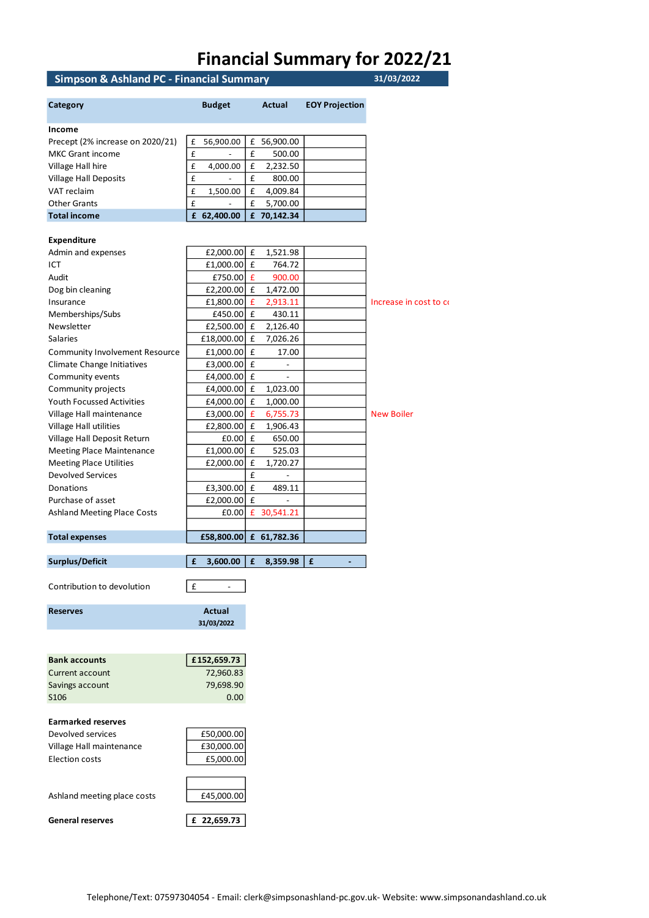### **Financial Summary for 2022/21**

#### **Simpson & Ashland PC - Financial Summary 31/03/2022**

| Simpson & Asmanu FC - Financial Summary |                               |        |                          |                       | <b>SIJUSI ZUZZ</b>     |
|-----------------------------------------|-------------------------------|--------|--------------------------|-----------------------|------------------------|
| Category                                | <b>Budget</b>                 |        | Actual                   | <b>EOY Projection</b> |                        |
| Income                                  |                               |        |                          |                       |                        |
| Precept (2% increase on 2020/21)        | £<br>56,900.00                | £      | 56,900.00                |                       |                        |
| <b>MKC Grant income</b>                 | £                             | £      | 500.00                   |                       |                        |
| Village Hall hire                       | £<br>4,000.00                 | £      | 2,232.50                 |                       |                        |
| <b>Village Hall Deposits</b>            | £                             | £      | 800.00                   |                       |                        |
| VAT reclaim                             | £<br>1,500.00                 | £      | 4,009.84                 |                       |                        |
| <b>Other Grants</b>                     | £                             | £      | 5,700.00                 |                       |                        |
| <b>Total income</b>                     | £ 62,400.00                   |        | £ 70,142.34              |                       |                        |
|                                         |                               |        |                          |                       |                        |
| <b>Expenditure</b>                      |                               |        |                          |                       |                        |
| Admin and expenses<br>ICT               | £2,000.00                     | £<br>£ | 1,521.98<br>764.72       |                       |                        |
| Audit                                   | £1,000.00                     | £      |                          |                       |                        |
|                                         | £750.00                       | £      | 900.00                   |                       |                        |
| Dog bin cleaning                        | £2,200.00                     |        | 1,472.00                 |                       |                        |
| Insurance                               | £1,800.00                     | £<br>£ | 2,913.11<br>430.11       |                       | Increase in cost to co |
| Memberships/Subs                        | £450.00                       |        |                          |                       |                        |
| Newsletter                              | £2,500.00                     | £      | 2,126.40                 |                       |                        |
| <b>Salaries</b>                         | £18,000.00                    | £      | 7,026.26                 |                       |                        |
| <b>Community Involvement Resource</b>   | £1,000.00                     | £      | 17.00                    |                       |                        |
| Climate Change Initiatives              | £3,000.00                     | £      | $\blacksquare$           |                       |                        |
| Community events                        | £4,000.00 £                   |        | $\overline{\phantom{a}}$ |                       |                        |
| Community projects                      | £4,000.00                     | £      | 1,023.00                 |                       |                        |
| Youth Focussed Activities               | £4,000.00                     | £      | 1,000.00                 |                       |                        |
| Village Hall maintenance                | £3,000.00                     | £      | 6,755.73                 |                       | <b>New Boiler</b>      |
| Village Hall utilities                  | £2,800.00                     | £      | 1,906.43                 |                       |                        |
| Village Hall Deposit Return             | £0.00                         | £      | 650.00                   |                       |                        |
| <b>Meeting Place Maintenance</b>        | £1,000.00                     | £      | 525.03                   |                       |                        |
| <b>Meeting Place Utilities</b>          | £2,000.00                     | £      | 1,720.27                 |                       |                        |
| <b>Devolved Services</b>                |                               | £      | $\overline{\phantom{a}}$ |                       |                        |
| Donations                               | £3,300.00                     | £      | 489.11                   |                       |                        |
| Purchase of asset                       | £2,000.00                     | £      | $\frac{1}{2}$            |                       |                        |
| <b>Ashland Meeting Place Costs</b>      | £0.00                         | £      | 30,541.21                |                       |                        |
| <b>Total expenses</b>                   | £58,800.00                    |        | £ 61,782.36              |                       |                        |
|                                         |                               |        |                          |                       |                        |
| <b>Surplus/Deficit</b>                  | £<br>3,600.00                 | £      | 8,359.98                 | £                     |                        |
| Contribution to devolution              | £<br>$\overline{\phantom{a}}$ |        |                          |                       |                        |
| <b>Reserves</b>                         | Actual                        |        |                          |                       |                        |
|                                         | 31/03/2022                    |        |                          |                       |                        |
|                                         |                               |        |                          |                       |                        |
| <b>Bank accounts</b>                    | £152,659.73                   |        |                          |                       |                        |
| Current account                         | 72,960.83                     |        |                          |                       |                        |
| Savings account                         | 79,698.90                     |        |                          |                       |                        |
| S106                                    | 0.00                          |        |                          |                       |                        |
|                                         |                               |        |                          |                       |                        |
| <b>Earmarked reserves</b>               |                               |        |                          |                       |                        |
| Devolved services                       | £50,000.00                    |        |                          |                       |                        |
| Village Hall maintenance                | £30,000.00                    |        |                          |                       |                        |
| <b>Election costs</b>                   | £5,000.00                     |        |                          |                       |                        |
|                                         |                               |        |                          |                       |                        |
|                                         |                               |        |                          |                       |                        |
| Ashland meeting place costs             | £45,000.00                    |        |                          |                       |                        |
|                                         |                               |        |                          |                       |                        |
| <b>General reserves</b>                 | £ 22,659.73                   |        |                          |                       |                        |
|                                         |                               |        |                          |                       |                        |